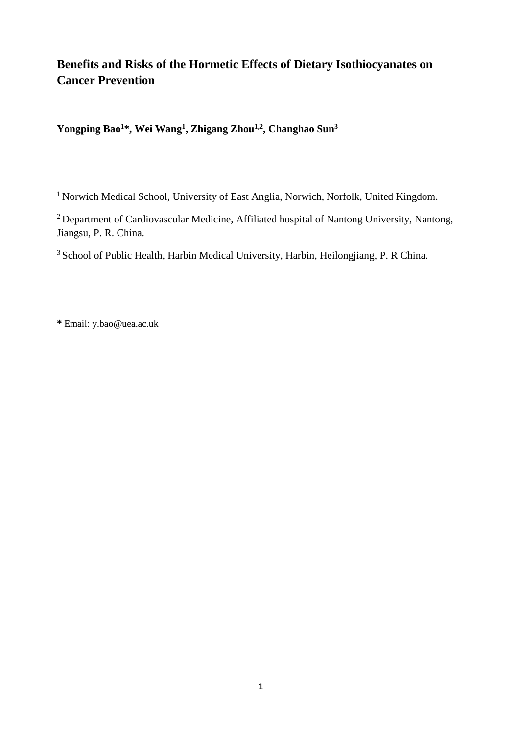# **Benefits and Risks of the Hormetic Effects of Dietary Isothiocyanates on Cancer Prevention**

**Yongping Bao<sup>1</sup>\*, Wei Wang<sup>1</sup> , Zhigang Zhou1,2, Changhao Sun<sup>3</sup>**

<sup>1</sup> Norwich Medical School, University of East Anglia, Norwich, Norfolk, United Kingdom.

<sup>2</sup> Department of Cardiovascular Medicine, Affiliated hospital of Nantong University, Nantong, Jiangsu, P. R. China.

<sup>3</sup> School of Public Health, Harbin Medical University, Harbin, Heilongjiang, P. R China.

**\*** Email: y.bao@uea.ac.uk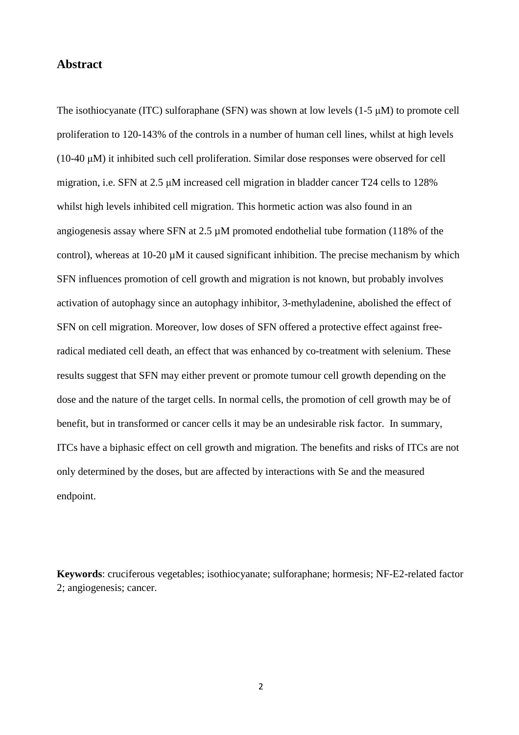### **Abstract**

The isothiocyanate (ITC) sulforaphane (SFN) was shown at low levels (1-5 µM) to promote cell proliferation to 120-143% of the controls in a number of human cell lines, whilst at high levels (10-40 µM) it inhibited such cell proliferation. Similar dose responses were observed for cell migration, i.e. SFN at 2.5  $\mu$ M increased cell migration in bladder cancer T24 cells to 128% whilst high levels inhibited cell migration. This hormetic action was also found in an angiogenesis assay where SFN at 2.5 µM promoted endothelial tube formation (118% of the control), whereas at  $10-20 \mu M$  it caused significant inhibition. The precise mechanism by which SFN influences promotion of cell growth and migration is not known, but probably involves activation of autophagy since an autophagy inhibitor, 3-methyladenine, abolished the effect of SFN on cell migration. Moreover, low doses of SFN offered a protective effect against freeradical mediated cell death, an effect that was enhanced by co-treatment with selenium. These results suggest that SFN may either prevent or promote tumour cell growth depending on the dose and the nature of the target cells. In normal cells, the promotion of cell growth may be of benefit, but in transformed or cancer cells it may be an undesirable risk factor. In summary, ITCs have a biphasic effect on cell growth and migration. The benefits and risks of ITCs are not only determined by the doses, but are affected by interactions with Se and the measured endpoint.

**Keywords**: cruciferous vegetables; isothiocyanate; sulforaphane; hormesis; NF-E2-related factor 2; angiogenesis; cancer.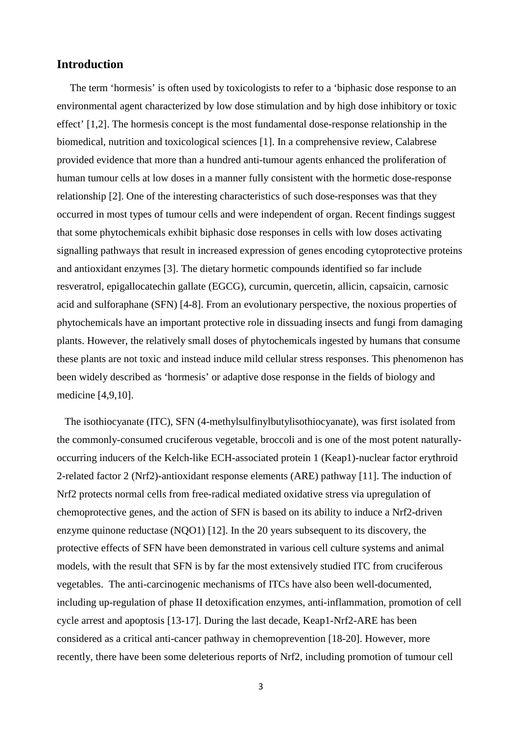### **Introduction**

 The term 'hormesis' is often used by toxicologists to refer to a 'biphasic dose response to an environmental agent characterized by low dose stimulation and by high dose inhibitory or toxic effect' [1,2]. The hormesis concept is the most fundamental dose-response relationship in the biomedical, nutrition and toxicological sciences [1]. In a comprehensive review, Calabrese provided evidence that more than a hundred anti-tumour agents enhanced the proliferation of human tumour cells at low doses in a manner fully consistent with the hormetic dose-response relationship [2]. One of the interesting characteristics of such dose-responses was that they occurred in most types of tumour cells and were independent of organ. Recent findings suggest that some phytochemicals exhibit biphasic dose responses in cells with low doses activating signalling pathways that result in increased expression of genes encoding cytoprotective proteins and antioxidant enzymes [3]. The dietary hormetic compounds identified so far include resveratrol, epigallocatechin gallate (EGCG), curcumin, quercetin, allicin, capsaicin, carnosic acid and sulforaphane (SFN) [4-8]. From an evolutionary perspective, the noxious properties of phytochemicals have an important protective role in dissuading insects and fungi from damaging plants. However, the relatively small doses of phytochemicals ingested by humans that consume these plants are not toxic and instead induce mild cellular stress responses. This phenomenon has been widely described as 'hormesis' or adaptive dose response in the fields of biology and medicine [4,9,10].

 The isothiocyanate (ITC), SFN (4-methylsulfinylbutylisothiocyanate), was first isolated from the commonly-consumed cruciferous vegetable, broccoli and is one of the most potent naturallyoccurring inducers of the Kelch-like ECH-associated protein 1 (Keap1)-nuclear factor erythroid 2-related factor 2 (Nrf2)-antioxidant response elements (ARE) pathway [11]. The induction of Nrf2 protects normal cells from free-radical mediated oxidative stress via upregulation of chemoprotective genes, and the action of SFN is based on its ability to induce a Nrf2-driven enzyme quinone reductase (NQO1) [12]. In the 20 years subsequent to its discovery, the protective effects of SFN have been demonstrated in various cell culture systems and animal models, with the result that SFN is by far the most extensively studied ITC from cruciferous vegetables. The anti-carcinogenic mechanisms of ITCs have also been well-documented, including up-regulation of phase II detoxification enzymes, anti-inflammation, promotion of cell cycle arrest and apoptosis [13-17]. During the last decade, Keap1-Nrf2-ARE has been considered as a critical anti-cancer pathway in chemoprevention [18-20]. However, more recently, there have been some deleterious reports of Nrf2, including promotion of tumour cell

3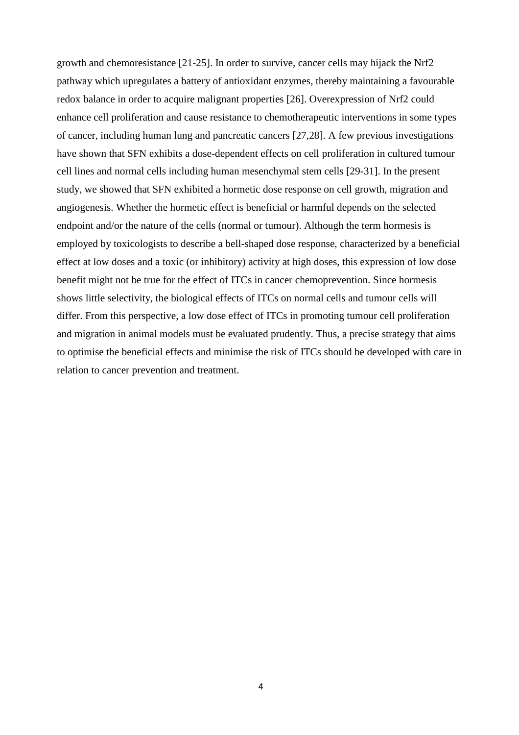growth and chemoresistance [21-25]. In order to survive, cancer cells may hijack the Nrf2 pathway which upregulates a battery of antioxidant enzymes, thereby maintaining a favourable redox balance in order to acquire malignant properties [26]. Overexpression of Nrf2 could enhance cell proliferation and cause resistance to chemotherapeutic interventions in some types of cancer, including human lung and pancreatic cancers [27,28]. A few previous investigations have shown that SFN exhibits a dose-dependent effects on cell proliferation in cultured tumour cell lines and normal cells including human mesenchymal stem cells [29-31]. In the present study, we showed that SFN exhibited a hormetic dose response on cell growth, migration and angiogenesis. Whether the hormetic effect is beneficial or harmful depends on the selected endpoint and/or the nature of the cells (normal or tumour). Although the term hormesis is employed by toxicologists to describe a bell-shaped dose response, characterized by a beneficial effect at low doses and a toxic (or inhibitory) activity at high doses, this expression of low dose benefit might not be true for the effect of ITCs in cancer chemoprevention. Since hormesis shows little selectivity, the biological effects of ITCs on normal cells and tumour cells will differ. From this perspective, a low dose effect of ITCs in promoting tumour cell proliferation and migration in animal models must be evaluated prudently. Thus, a precise strategy that aims to optimise the beneficial effects and minimise the risk of ITCs should be developed with care in relation to cancer prevention and treatment.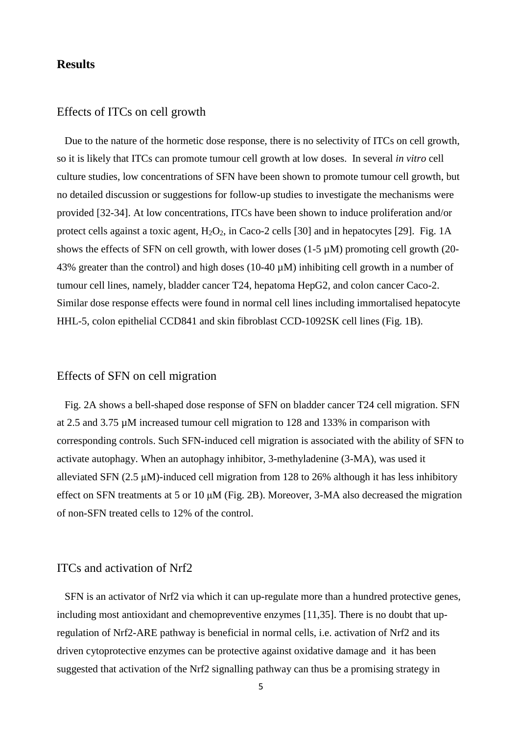# **Results**

#### Effects of ITCs on cell growth

 Due to the nature of the hormetic dose response, there is no selectivity of ITCs on cell growth, so it is likely that ITCs can promote tumour cell growth at low doses. In several *in vitro* cell culture studies, low concentrations of SFN have been shown to promote tumour cell growth, but no detailed discussion or suggestions for follow-up studies to investigate the mechanisms were provided [32-34]. At low concentrations, ITCs have been shown to induce proliferation and/or protect cells against a toxic agent,  $H_2O_2$ , in Caco-2 cells [30] and in hepatocytes [29]. Fig. 1A shows the effects of SFN on cell growth, with lower doses (1-5  $\mu$ M) promoting cell growth (20-43% greater than the control) and high doses  $(10-40 \mu M)$  inhibiting cell growth in a number of tumour cell lines, namely, bladder cancer T24, hepatoma HepG2, and colon cancer Caco-2. Similar dose response effects were found in normal cell lines including immortalised hepatocyte HHL-5, colon epithelial CCD841 and skin fibroblast CCD-1092SK cell lines (Fig. 1B).

#### Effects of SFN on cell migration

 Fig. 2A shows a bell-shaped dose response of SFN on bladder cancer T24 cell migration. SFN at 2.5 and 3.75 µM increased tumour cell migration to 128 and 133% in comparison with corresponding controls. Such SFN-induced cell migration is associated with the ability of SFN to activate autophagy. When an autophagy inhibitor, 3-methyladenine (3-MA), was used it alleviated SFN (2.5  $\mu$ M)-induced cell migration from 128 to 26% although it has less inhibitory effect on SFN treatments at 5 or 10  $\mu$ M (Fig. 2B). Moreover, 3-MA also decreased the migration of non-SFN treated cells to 12% of the control.

### ITCs and activation of Nrf2

 SFN is an activator of Nrf2 via which it can up-regulate more than a hundred protective genes, including most antioxidant and chemopreventive enzymes [11,35]. There is no doubt that upregulation of Nrf2-ARE pathway is beneficial in normal cells, i.e. activation of Nrf2 and its driven cytoprotective enzymes can be protective against oxidative damage and it has been suggested that activation of the Nrf2 signalling pathway can thus be a promising strategy in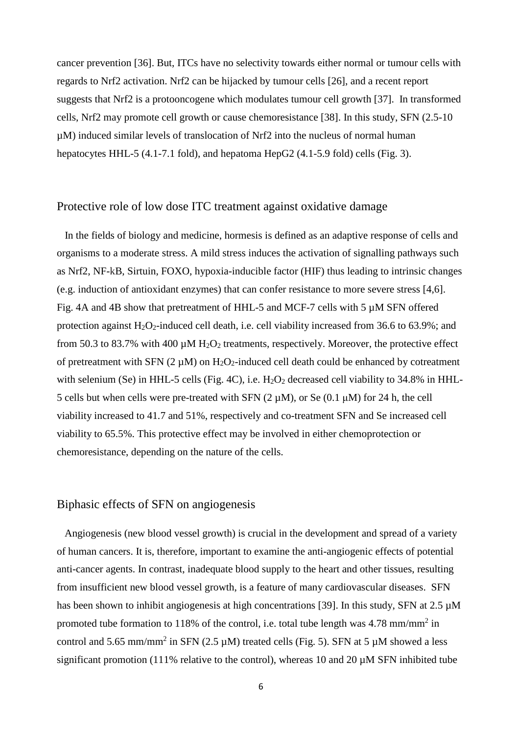cancer prevention [36]. But, ITCs have no selectivity towards either normal or tumour cells with regards to Nrf2 activation. Nrf2 can be hijacked by tumour cells [26], and a recent report suggests that Nrf2 is a protooncogene which modulates tumour cell growth [37]. In transformed cells, Nrf2 may promote cell growth or cause chemoresistance [38]. In this study, SFN (2.5-10 µM) induced similar levels of translocation of Nrf2 into the nucleus of normal human hepatocytes HHL-5 (4.1-7.1 fold), and hepatoma HepG2 (4.1-5.9 fold) cells (Fig. 3).

#### Protective role of low dose ITC treatment against oxidative damage

 In the fields of biology and medicine, hormesis is defined as an adaptive response of cells and organisms to a moderate stress. A mild stress induces the activation of signalling pathways such as Nrf2, NF-kB, Sirtuin, FOXO, hypoxia-inducible factor (HIF) thus leading to intrinsic changes (e.g. induction of antioxidant enzymes) that can confer resistance to more severe stress [4,6]. Fig. 4A and 4B show that pretreatment of HHL-5 and MCF-7 cells with 5 µM SFN offered protection against  $H_2O_2$ -induced cell death, i.e. cell viability increased from 36.6 to 63.9%; and from 50.3 to 83.7% with 400  $\mu$ M H<sub>2</sub>O<sub>2</sub> treatments, respectively. Moreover, the protective effect of pretreatment with SFN (2  $\mu$ M) on H<sub>2</sub>O<sub>2</sub>-induced cell death could be enhanced by cotreatment with selenium (Se) in HHL-5 cells (Fig. 4C), i.e.  $H_2O_2$  decreased cell viability to 34.8% in HHL-5 cells but when cells were pre-treated with SFN  $(2 \mu M)$ , or Se  $(0.1 \mu M)$  for 24 h, the cell viability increased to 41.7 and 51%, respectively and co-treatment SFN and Se increased cell viability to 65.5%. This protective effect may be involved in either chemoprotection or chemoresistance, depending on the nature of the cells.

### Biphasic effects of SFN on angiogenesis

 Angiogenesis (new blood vessel growth) is crucial in the development and spread of a variety of human cancers. It is, therefore, important to examine the anti-angiogenic effects of potential anti-cancer agents. In contrast, inadequate blood supply to the heart and other tissues, resulting from insufficient new blood vessel growth, is a feature of many cardiovascular diseases. SFN has been shown to inhibit angiogenesis at high concentrations [39]. In this study, SFN at 2.5  $\mu$ M promoted tube formation to 118% of the control, i.e. total tube length was  $4.78 \text{ mm/mm}^2$  in control and 5.65 mm/mm<sup>2</sup> in SFN (2.5  $\mu$ M) treated cells (Fig. 5). SFN at 5  $\mu$ M showed a less significant promotion (111% relative to the control), whereas 10 and 20  $\mu$ M SFN inhibited tube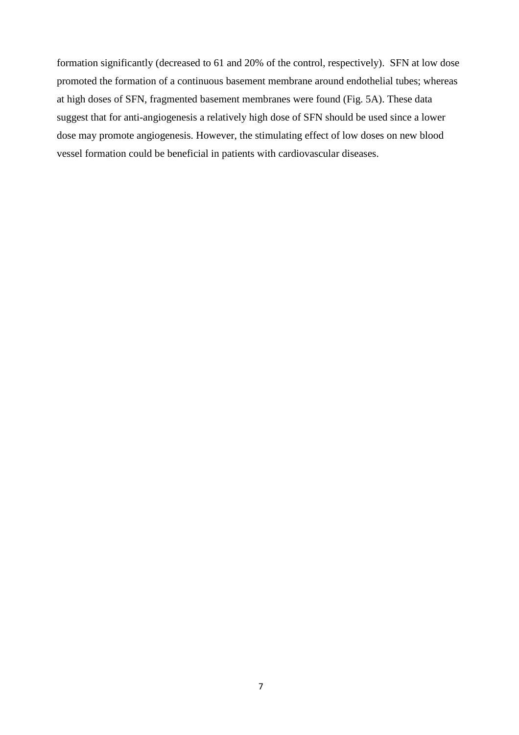formation significantly (decreased to 61 and 20% of the control, respectively). SFN at low dose promoted the formation of a continuous basement membrane around endothelial tubes; whereas at high doses of SFN, fragmented basement membranes were found (Fig. 5A). These data suggest that for anti-angiogenesis a relatively high dose of SFN should be used since a lower dose may promote angiogenesis. However, the stimulating effect of low doses on new blood vessel formation could be beneficial in patients with cardiovascular diseases.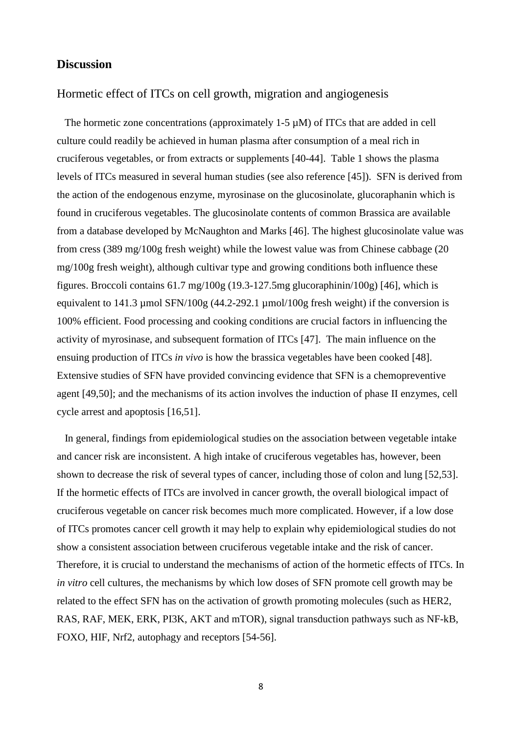# **Discussion**

### Hormetic effect of ITCs on cell growth, migration and angiogenesis

The hormetic zone concentrations (approximately  $1-5 \mu M$ ) of ITCs that are added in cell culture could readily be achieved in human plasma after consumption of a meal rich in cruciferous vegetables, or from extracts or supplements [40-44]. Table 1 shows the plasma levels of ITCs measured in several human studies (see also reference [45]). SFN is derived from the action of the endogenous enzyme, myrosinase on the glucosinolate, glucoraphanin which is found in cruciferous vegetables. The glucosinolate contents of common Brassica are available from a database developed by McNaughton and Marks [46]. The highest glucosinolate value was from cress (389 mg/100g fresh weight) while the lowest value was from Chinese cabbage (20 mg/100g fresh weight), although cultivar type and growing conditions both influence these figures. Broccoli contains 61.7 mg/100g (19.3-127.5mg glucoraphinin/100g) [46], which is equivalent to 141.3 µmol SFN/100g (44.2-292.1 µmol/100g fresh weight) if the conversion is 100% efficient. Food processing and cooking conditions are crucial factors in influencing the activity of myrosinase, and subsequent formation of ITCs [47]. The main influence on the ensuing production of ITCs *in vivo* is how the brassica vegetables have been cooked [48]. Extensive studies of SFN have provided convincing evidence that SFN is a chemopreventive agent [49,50]; and the mechanisms of its action involves the induction of phase II enzymes, cell cycle arrest and apoptosis [16,51].

 In general, findings from epidemiological studies on the association between vegetable intake and cancer risk are inconsistent. A high intake of cruciferous vegetables has, however, been shown to decrease the risk of several types of cancer, including those of colon and lung [52,53]. If the hormetic effects of ITCs are involved in cancer growth, the overall biological impact of cruciferous vegetable on cancer risk becomes much more complicated. However, if a low dose of ITCs promotes cancer cell growth it may help to explain why epidemiological studies do not show a consistent association between cruciferous vegetable intake and the risk of cancer. Therefore, it is crucial to understand the mechanisms of action of the hormetic effects of ITCs. In *in vitro* cell cultures, the mechanisms by which low doses of SFN promote cell growth may be related to the effect SFN has on the activation of growth promoting molecules (such as HER2, RAS, RAF, MEK, ERK, PI3K, AKT and mTOR), signal transduction pathways such as NF-kB, FOXO, HIF, Nrf2, autophagy and receptors [54-56].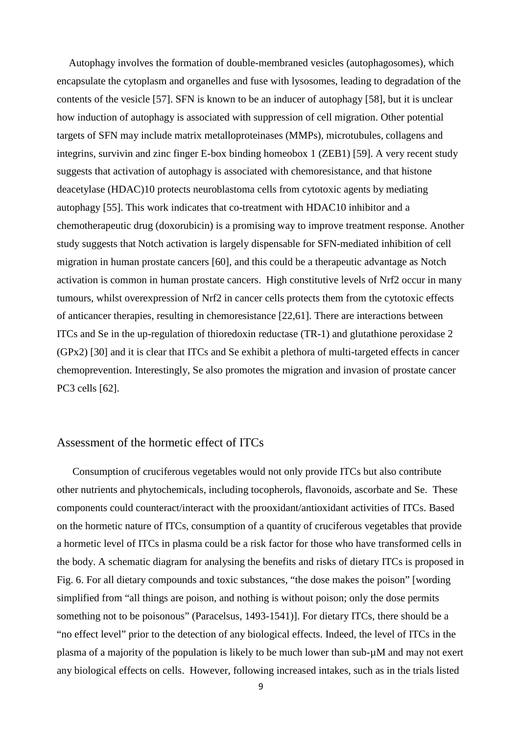Autophagy involves the formation of double-membraned vesicles (autophagosomes), which encapsulate the cytoplasm and organelles and fuse with lysosomes, leading to degradation of the contents of the vesicle [57]. SFN is known to be an inducer of autophagy [58], but it is unclear how induction of autophagy is associated with suppression of cell migration. Other potential targets of SFN may include matrix metalloproteinases (MMPs), microtubules, collagens and integrins, survivin and zinc finger E-box binding homeobox 1 (ZEB1) [59]. A very recent study suggests that activation of autophagy is associated with chemoresistance, and that histone deacetylase (HDAC)10 protects neuroblastoma cells from cytotoxic agents by mediating autophagy [55]. This work indicates that co-treatment with HDAC10 inhibitor and a chemotherapeutic drug (doxorubicin) is a promising way to improve treatment response. Another study suggests that Notch activation is largely dispensable for SFN-mediated inhibition of cell migration in human prostate cancers [60], and this could be a therapeutic advantage as Notch activation is common in human prostate cancers. High constitutive levels of Nrf2 occur in many tumours, whilst overexpression of Nrf2 in cancer cells protects them from the cytotoxic effects of anticancer therapies, resulting in chemoresistance [22,61]. There are interactions between ITCs and Se in the up-regulation of thioredoxin reductase (TR-1) and glutathione peroxidase 2 (GPx2) [30] and it is clear that ITCs and Se exhibit a plethora of multi-targeted effects in cancer chemoprevention. Interestingly, Se also promotes the migration and invasion of prostate cancer PC3 cells [62].

#### Assessment of the hormetic effect of ITCs

 Consumption of cruciferous vegetables would not only provide ITCs but also contribute other nutrients and phytochemicals, including tocopherols, flavonoids, ascorbate and Se. These components could counteract/interact with the prooxidant/antioxidant activities of ITCs. Based on the hormetic nature of ITCs, consumption of a quantity of cruciferous vegetables that provide a hormetic level of ITCs in plasma could be a risk factor for those who have transformed cells in the body. A schematic diagram for analysing the benefits and risks of dietary ITCs is proposed in Fig. 6. For all dietary compounds and toxic substances, "the dose makes the poison" [wording simplified from "all things are poison, and nothing is without poison; only the dose permits something not to be poisonous" (Paracelsus, 1493-1541)]. For dietary ITCs, there should be a "no effect level" prior to the detection of any biological effects. Indeed, the level of ITCs in the plasma of a majority of the population is likely to be much lower than sub-µM and may not exert any biological effects on cells. However, following increased intakes, such as in the trials listed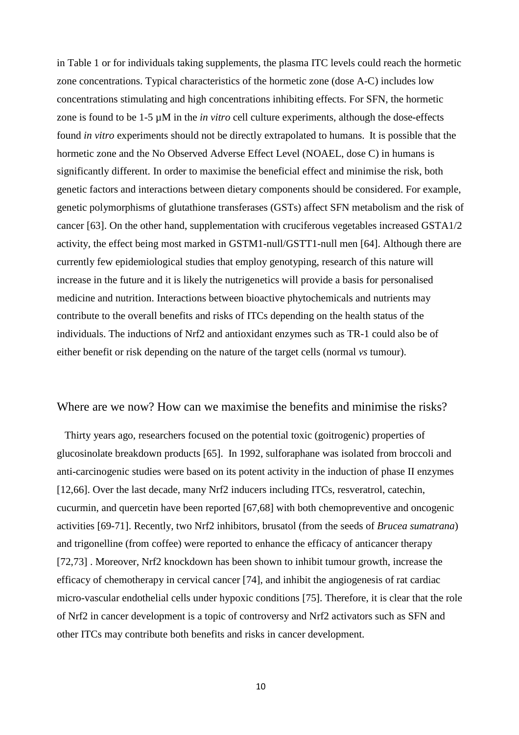in Table 1 or for individuals taking supplements, the plasma ITC levels could reach the hormetic zone concentrations. Typical characteristics of the hormetic zone (dose A-C) includes low concentrations stimulating and high concentrations inhibiting effects. For SFN, the hormetic zone is found to be 1-5 µM in the *in vitro* cell culture experiments, although the dose-effects found *in vitro* experiments should not be directly extrapolated to humans. It is possible that the hormetic zone and the No Observed Adverse Effect Level (NOAEL, dose C) in humans is significantly different. In order to maximise the beneficial effect and minimise the risk, both genetic factors and interactions between dietary components should be considered. For example, genetic polymorphisms of glutathione transferases (GSTs) affect SFN metabolism and the risk of cancer [63]. On the other hand, supplementation with cruciferous vegetables increased GSTA1/2 activity, the effect being most marked in GSTM1-null/GSTT1-null men [64]. Although there are currently few epidemiological studies that employ genotyping, research of this nature will increase in the future and it is likely the nutrigenetics will provide a basis for personalised medicine and nutrition. Interactions between bioactive phytochemicals and nutrients may contribute to the overall benefits and risks of ITCs depending on the health status of the individuals. The inductions of Nrf2 and antioxidant enzymes such as TR-1 could also be of either benefit or risk depending on the nature of the target cells (normal *vs* tumour).

#### Where are we now? How can we maximise the benefits and minimise the risks?

 Thirty years ago, researchers focused on the potential toxic (goitrogenic) properties of glucosinolate breakdown products [65]. In 1992, sulforaphane was isolated from broccoli and anti-carcinogenic studies were based on its potent activity in the induction of phase II enzymes [12,66]. Over the last decade, many Nrf2 inducers including ITCs, resveratrol, catechin, cucurmin, and quercetin have been reported [67,68] with both chemopreventive and oncogenic activities [69-71]. Recently, two Nrf2 inhibitors, brusatol (from the seeds of *Brucea sumatrana*) and trigonelline (from coffee) were reported to enhance the efficacy of anticancer therapy [72,73]. Moreover, Nrf2 knockdown has been shown to inhibit tumour growth, increase the efficacy of chemotherapy in cervical cancer [74], and inhibit the angiogenesis of rat cardiac micro-vascular endothelial cells under hypoxic conditions [75]. Therefore, it is clear that the role of Nrf2 in cancer development is a topic of controversy and Nrf2 activators such as SFN and other ITCs may contribute both benefits and risks in cancer development.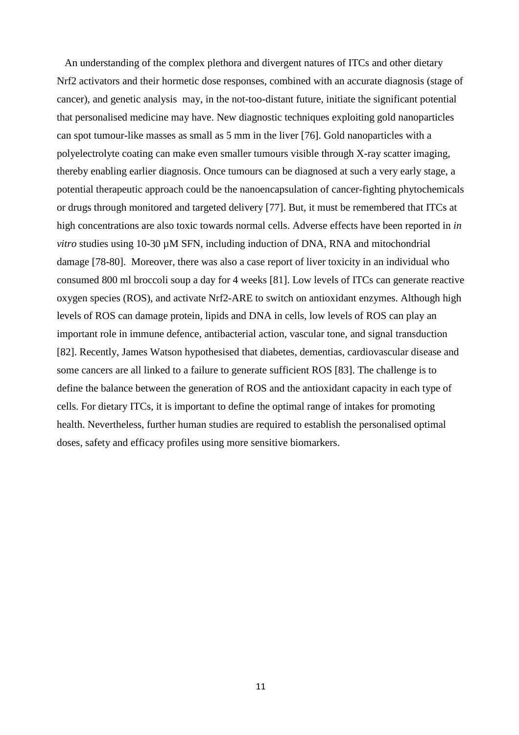An understanding of the complex plethora and divergent natures of ITCs and other dietary Nrf2 activators and their hormetic dose responses, combined with an accurate diagnosis (stage of cancer), and genetic analysis may, in the not-too-distant future, initiate the significant potential that personalised medicine may have. New diagnostic techniques exploiting gold nanoparticles can spot tumour-like masses as small as 5 mm in the liver [76]. Gold nanoparticles with a polyelectrolyte coating can make even smaller tumours visible through X-ray scatter imaging, thereby enabling earlier diagnosis. Once tumours can be diagnosed at such a very early stage, a potential therapeutic approach could be the nanoencapsulation of cancer-fighting phytochemicals or drugs through monitored and targeted delivery [77]. But, it must be remembered that ITCs at high concentrations are also toxic towards normal cells. Adverse effects have been reported in *in vitro* studies using 10-30 µM SFN, including induction of DNA, RNA and mitochondrial damage [78-80]. Moreover, there was also a case report of liver toxicity in an individual who consumed 800 ml broccoli soup a day for 4 weeks [81]. Low levels of ITCs can generate reactive oxygen species (ROS), and activate Nrf2-ARE to switch on antioxidant enzymes. Although high levels of ROS can damage protein, lipids and DNA in cells, low levels of ROS can play an important role in immune defence, antibacterial action, vascular tone, and signal transduction [82]. Recently, James Watson hypothesised that diabetes, dementias, cardiovascular disease and some cancers are all linked to a failure to generate sufficient ROS [83]. The challenge is to define the balance between the generation of ROS and the antioxidant capacity in each type of cells. For dietary ITCs, it is important to define the optimal range of intakes for promoting health. Nevertheless, further human studies are required to establish the personalised optimal doses, safety and efficacy profiles using more sensitive biomarkers.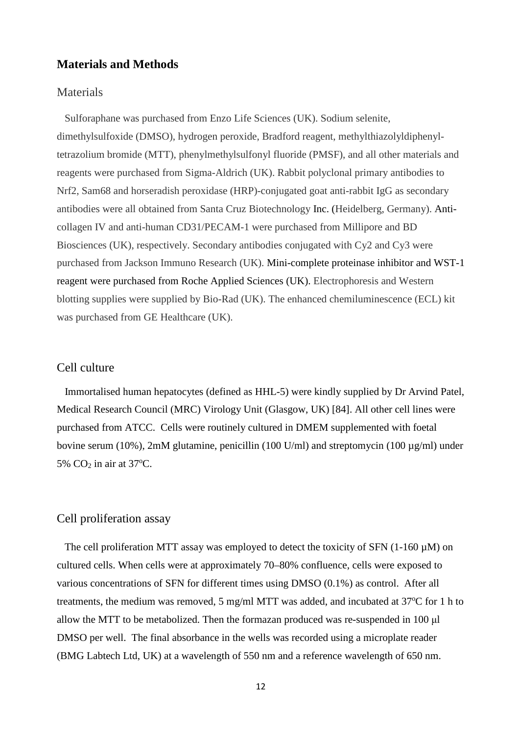## **Materials and Methods**

### **Materials**

 Sulforaphane was purchased from Enzo Life Sciences (UK). Sodium selenite, dimethylsulfoxide (DMSO), hydrogen peroxide, Bradford reagent, methylthiazolyldiphenyltetrazolium bromide (MTT), phenylmethylsulfonyl fluoride (PMSF), and all other materials and reagents were purchased from Sigma-Aldrich (UK). Rabbit polyclonal primary antibodies to Nrf2, Sam68 and horseradish peroxidase (HRP)-conjugated goat anti-rabbit IgG as secondary antibodies were all obtained from Santa Cruz Biotechnology Inc. (Heidelberg, Germany). Anticollagen IV and anti-human CD31/PECAM-1 were purchased from Millipore and BD Biosciences (UK), respectively. Secondary antibodies conjugated with Cy2 and Cy3 were purchased from Jackson Immuno Research (UK). Mini-complete proteinase inhibitor and WST-1 reagent were purchased from Roche Applied Sciences (UK). Electrophoresis and Western blotting supplies were supplied by Bio-Rad (UK). The enhanced chemiluminescence (ECL) kit was purchased from GE Healthcare (UK).

### Cell culture

 Immortalised human hepatocytes (defined as HHL-5) were kindly supplied by Dr Arvind Patel, Medical Research Council (MRC) Virology Unit (Glasgow, UK) [84]. All other cell lines were purchased from ATCC. Cells were routinely cultured in DMEM supplemented with foetal bovine serum (10%), 2mM glutamine, penicillin (100 U/ml) and streptomycin (100 µg/ml) under 5%  $CO<sub>2</sub>$  in air at 37°C.

# Cell proliferation assay

The cell proliferation MTT assay was employed to detect the toxicity of SFN (1-160  $\mu$ M) on cultured cells. When cells were at approximately 70–80% confluence, cells were exposed to various concentrations of SFN for different times using DMSO (0.1%) as control. After all treatments, the medium was removed, 5 mg/ml MTT was added, and incubated at  $37^{\circ}$ C for 1 h to allow the MTT to be metabolized. Then the formazan produced was re-suspended in 100 µl DMSO per well. The final absorbance in the wells was recorded using a microplate reader (BMG Labtech Ltd, UK) at a wavelength of 550 nm and a reference wavelength of 650 nm.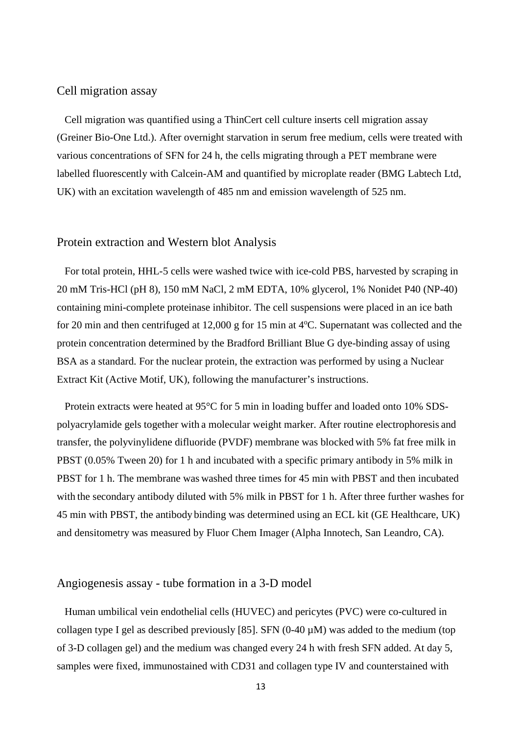### Cell migration assay

 Cell migration was quantified using a ThinCert cell culture inserts cell migration assay (Greiner Bio-One Ltd.). After overnight starvation in serum free medium, cells were treated with various concentrations of SFN for 24 h, the cells migrating through a PET membrane were labelled fluorescently with Calcein-AM and quantified by microplate reader (BMG Labtech Ltd, UK) with an excitation wavelength of 485 nm and emission wavelength of 525 nm.

#### Protein extraction and Western blot Analysis

 For total protein, HHL-5 cells were washed twice with ice-cold PBS, harvested by scraping in 20 mM Tris-HCl (pH 8), 150 mM NaCl, 2 mM EDTA, 10% glycerol, 1% Nonidet P40 (NP-40) containing mini-complete proteinase inhibitor. The cell suspensions were placed in an ice bath for 20 min and then centrifuged at 12,000 g for 15 min at  $4^{\circ}$ C. Supernatant was collected and the protein concentration determined by the Bradford Brilliant Blue G dye-binding assay of using BSA as a standard. For the nuclear protein, the extraction was performed by using a Nuclear Extract Kit (Active Motif, UK), following the manufacturer's instructions.

 Protein extracts were heated at 95°C for 5 min in loading buffer and loaded onto 10% SDSpolyacrylamide gels together with a molecular weight marker. After routine electrophoresis and transfer, the polyvinylidene difluoride (PVDF) membrane was blocked with 5% fat free milk in PBST (0.05% Tween 20) for 1 h and incubated with a specific primary antibody in 5% milk in PBST for 1 h. The membrane was washed three times for 45 min with PBST and then incubated with the secondary antibody diluted with 5% milk in PBST for 1 h. After three further washes for 45 min with PBST, the antibody binding was determined using an ECL kit (GE Healthcare, UK) and densitometry was measured by Fluor Chem Imager (Alpha Innotech, San Leandro, CA).

#### Angiogenesis assay - tube formation in a 3-D model

 Human umbilical vein endothelial cells (HUVEC) and pericytes (PVC) were co-cultured in collagen type I gel as described previously [85]. SFN  $(0-40 \mu M)$  was added to the medium (top of 3-D collagen gel) and the medium was changed every 24 h with fresh SFN added. At day 5, samples were fixed, immunostained with CD31 and collagen type IV and counterstained with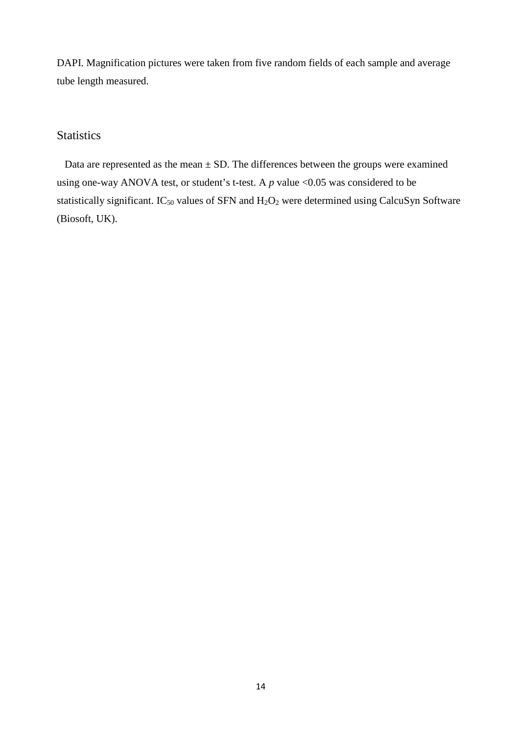DAPI. Magnification pictures were taken from five random fields of each sample and average tube length measured.

# **Statistics**

Data are represented as the mean  $\pm$  SD. The differences between the groups were examined using one-way ANOVA test, or student's t-test. A *p* value <0.05 was considered to be statistically significant. IC<sub>50</sub> values of SFN and H<sub>2</sub>O<sub>2</sub> were determined using CalcuSyn Software (Biosoft, UK).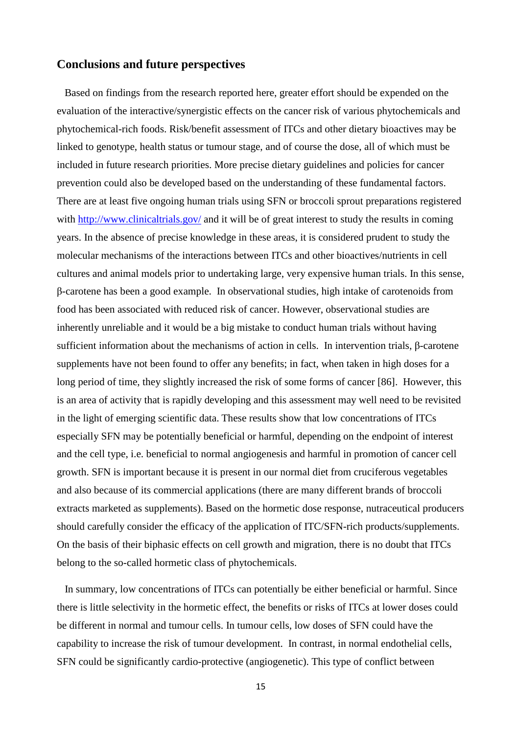### **Conclusions and future perspectives**

 Based on findings from the research reported here, greater effort should be expended on the evaluation of the interactive/synergistic effects on the cancer risk of various phytochemicals and phytochemical-rich foods. Risk/benefit assessment of ITCs and other dietary bioactives may be linked to genotype, health status or tumour stage, and of course the dose, all of which must be included in future research priorities. More precise dietary guidelines and policies for cancer prevention could also be developed based on the understanding of these fundamental factors. There are at least five ongoing human trials using SFN or broccoli sprout preparations registered with http://www.clinicaltrials.gov/ and it will be of great interest to study the results in coming years. In the absence of precise knowledge in these areas, it is considered prudent to study the molecular mechanisms of the interactions between ITCs and other bioactives/nutrients in cell cultures and animal models prior to undertaking large, very expensive human trials. In this sense, β-carotene has been a good example. In observational studies, high intake of carotenoids from food has been associated with reduced risk of cancer. However, observational studies are inherently unreliable and it would be a big mistake to conduct human trials without having sufficient information about the mechanisms of action in cells. In intervention trials, β-carotene supplements have not been found to offer any benefits; in fact, when taken in high doses for a long period of time, they slightly increased the risk of some forms of cancer [86]. However, this is an area of activity that is rapidly developing and this assessment may well need to be revisited in the light of emerging scientific data. These results show that low concentrations of ITCs especially SFN may be potentially beneficial or harmful, depending on the endpoint of interest and the cell type, i.e. beneficial to normal angiogenesis and harmful in promotion of cancer cell growth. SFN is important because it is present in our normal diet from cruciferous vegetables and also because of its commercial applications (there are many different brands of broccoli extracts marketed as supplements). Based on the hormetic dose response, nutraceutical producers should carefully consider the efficacy of the application of ITC/SFN-rich products/supplements. On the basis of their biphasic effects on cell growth and migration, there is no doubt that ITCs belong to the so-called hormetic class of phytochemicals.

 In summary, low concentrations of ITCs can potentially be either beneficial or harmful. Since there is little selectivity in the hormetic effect, the benefits or risks of ITCs at lower doses could be different in normal and tumour cells. In tumour cells, low doses of SFN could have the capability to increase the risk of tumour development. In contrast, in normal endothelial cells, SFN could be significantly cardio-protective (angiogenetic). This type of conflict between

15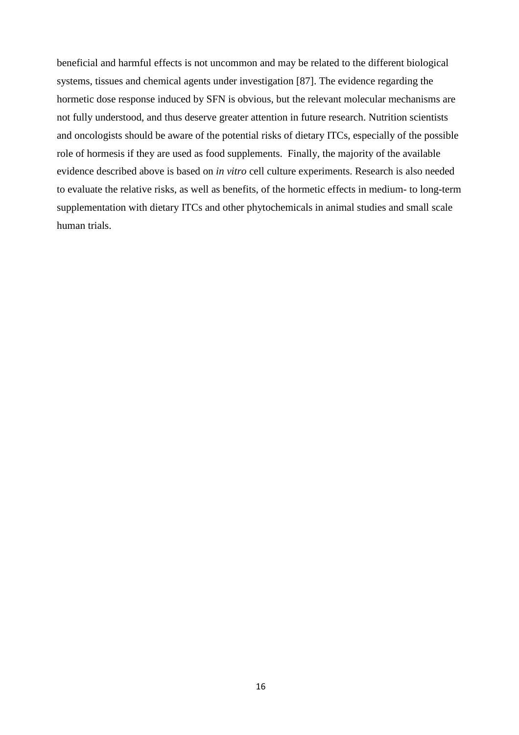beneficial and harmful effects is not uncommon and may be related to the different biological systems, tissues and chemical agents under investigation [87]. The evidence regarding the hormetic dose response induced by SFN is obvious, but the relevant molecular mechanisms are not fully understood, and thus deserve greater attention in future research. Nutrition scientists and oncologists should be aware of the potential risks of dietary ITCs, especially of the possible role of hormesis if they are used as food supplements. Finally, the majority of the available evidence described above is based on *in vitro* cell culture experiments. Research is also needed to evaluate the relative risks, as well as benefits, of the hormetic effects in medium- to long-term supplementation with dietary ITCs and other phytochemicals in animal studies and small scale human trials.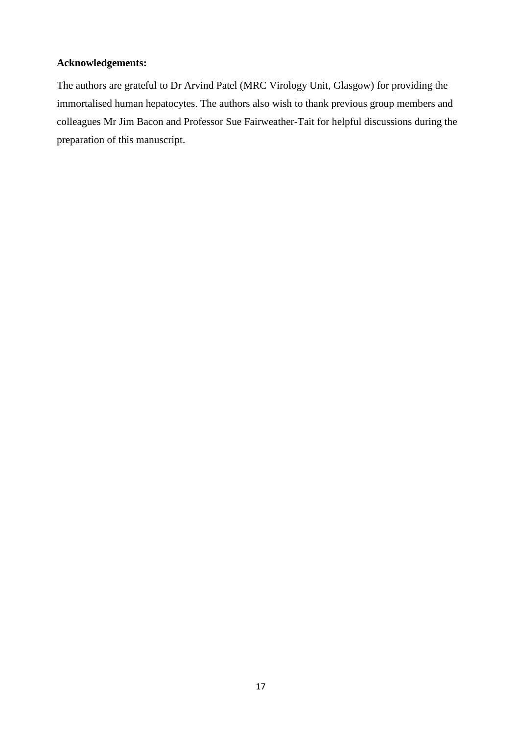# **Acknowledgements:**

The authors are grateful to Dr Arvind Patel (MRC Virology Unit, Glasgow) for providing the immortalised human hepatocytes. The authors also wish to thank previous group members and colleagues Mr Jim Bacon and Professor Sue Fairweather-Tait for helpful discussions during the preparation of this manuscript.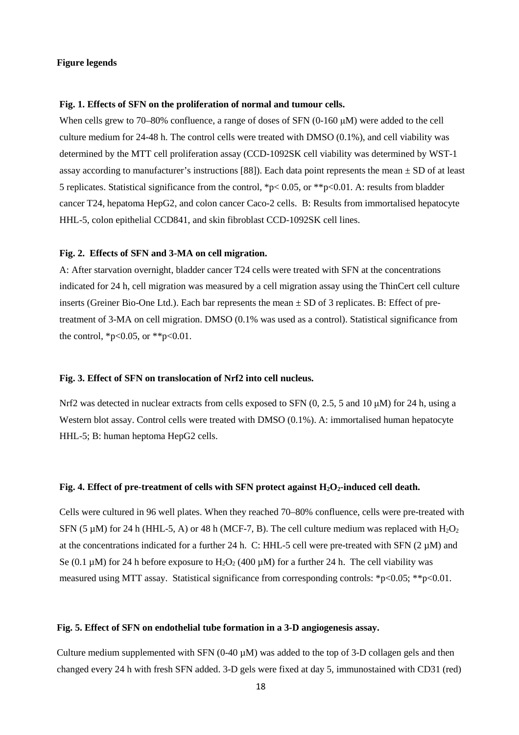#### **Figure legends**

#### **Fig. 1. Effects of SFN on the proliferation of normal and tumour cells.**

When cells grew to 70–80% confluence, a range of doses of SFN (0-160  $\mu$ M) were added to the cell culture medium for 24-48 h. The control cells were treated with DMSO (0.1%), and cell viability was determined by the MTT cell proliferation assay (CCD-1092SK cell viability was determined by WST-1 assay according to manufacturer's instructions [88]). Each data point represents the mean  $\pm$  SD of at least 5 replicates. Statistical significance from the control, \*p< 0.05, or \*\*p<0.01. A: results from bladder cancer T24, hepatoma HepG2, and colon cancer Caco-2 cells. B: Results from immortalised hepatocyte HHL-5, colon epithelial CCD841, and skin fibroblast CCD-1092SK cell lines.

#### **Fig. 2. Effects of SFN and 3-MA on cell migration.**

A: After starvation overnight, bladder cancer T24 cells were treated with SFN at the concentrations indicated for 24 h, cell migration was measured by a cell migration assay using the ThinCert cell culture inserts (Greiner Bio-One Ltd.). Each bar represents the mean  $\pm$  SD of 3 replicates. B: Effect of pretreatment of 3-MA on cell migration. DMSO (0.1% was used as a control). Statistical significance from the control, \*p<0.05, or \*\*p<0.01.

#### **Fig. 3. Effect of SFN on translocation of Nrf2 into cell nucleus.**

Nrf2 was detected in nuclear extracts from cells exposed to SFN  $(0, 2.5, 5, 5, 10, 10, \mu M)$  for 24 h, using a Western blot assay. Control cells were treated with DMSO (0.1%). A: immortalised human hepatocyte HHL-5; B: human heptoma HepG2 cells.

#### **Fig. 4. Effect of pre-treatment of cells with SFN protect against H2O2-induced cell death.**

Cells were cultured in 96 well plates. When they reached 70–80% confluence, cells were pre-treated with SFN (5  $\mu$ M) for 24 h (HHL-5, A) or 48 h (MCF-7, B). The cell culture medium was replaced with H<sub>2</sub>O<sub>2</sub> at the concentrations indicated for a further 24 h. C: HHL-5 cell were pre-treated with SFN  $(2 \mu M)$  and Se (0.1  $\mu$ M) for 24 h before exposure to H<sub>2</sub>O<sub>2</sub> (400  $\mu$ M) for a further 24 h. The cell viability was measured using MTT assay. Statistical significance from corresponding controls: \*p<0.05; \*\*p<0.01.

#### **Fig. 5. Effect of SFN on endothelial tube formation in a 3-D angiogenesis assay.**

Culture medium supplemented with SFN  $(0-40 \mu M)$  was added to the top of 3-D collagen gels and then changed every 24 h with fresh SFN added. 3-D gels were fixed at day 5, immunostained with CD31 (red)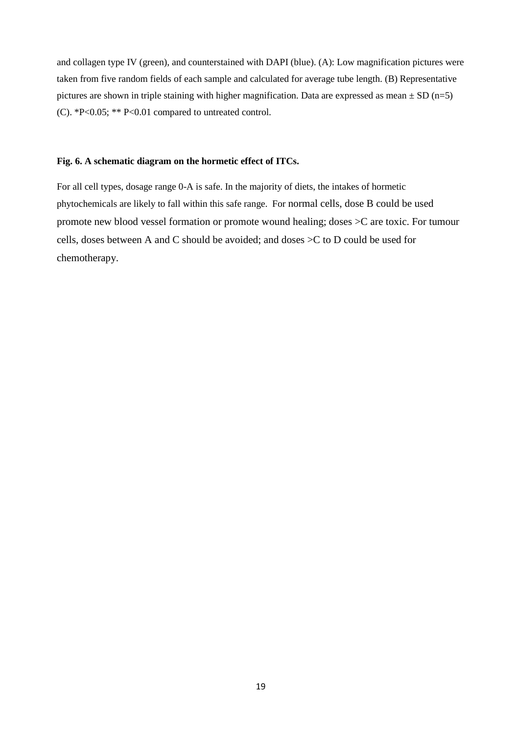and collagen type IV (green), and counterstained with DAPI (blue). (A): Low magnification pictures were taken from five random fields of each sample and calculated for average tube length. (B) Representative pictures are shown in triple staining with higher magnification. Data are expressed as mean  $\pm$  SD (n=5) (C).  $*P<0.05$ ;  $*P<0.01$  compared to untreated control.

#### **Fig. 6. A schematic diagram on the hormetic effect of ITCs.**

For all cell types, dosage range 0-A is safe. In the majority of diets, the intakes of hormetic phytochemicals are likely to fall within this safe range. For normal cells, dose B could be used promote new blood vessel formation or promote wound healing; doses >C are toxic. For tumour cells, doses between A and C should be avoided; and doses >C to D could be used for chemotherapy.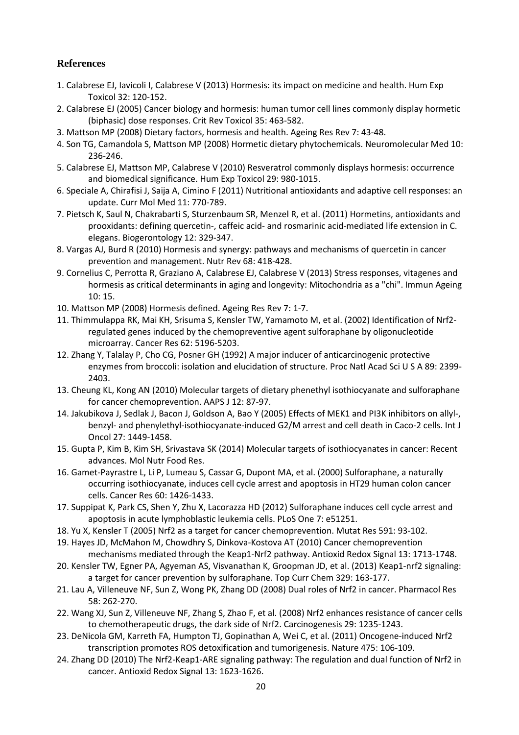# **References**

- 1. Calabrese EJ, Iavicoli I, Calabrese V (2013) Hormesis: its impact on medicine and health. Hum Exp Toxicol 32: 120-152.
- 2. Calabrese EJ (2005) Cancer biology and hormesis: human tumor cell lines commonly display hormetic (biphasic) dose responses. Crit Rev Toxicol 35: 463-582.
- 3. Mattson MP (2008) Dietary factors, hormesis and health. Ageing Res Rev 7: 43-48.
- 4. Son TG, Camandola S, Mattson MP (2008) Hormetic dietary phytochemicals. Neuromolecular Med 10: 236-246.
- 5. Calabrese EJ, Mattson MP, Calabrese V (2010) Resveratrol commonly displays hormesis: occurrence and biomedical significance. Hum Exp Toxicol 29: 980-1015.
- 6. Speciale A, Chirafisi J, Saija A, Cimino F (2011) Nutritional antioxidants and adaptive cell responses: an update. Curr Mol Med 11: 770-789.
- 7. Pietsch K, Saul N, Chakrabarti S, Sturzenbaum SR, Menzel R, et al. (2011) Hormetins, antioxidants and prooxidants: defining quercetin-, caffeic acid- and rosmarinic acid-mediated life extension in C. elegans. Biogerontology 12: 329-347.
- 8. Vargas AJ, Burd R (2010) Hormesis and synergy: pathways and mechanisms of quercetin in cancer prevention and management. Nutr Rev 68: 418-428.
- 9. Cornelius C, Perrotta R, Graziano A, Calabrese EJ, Calabrese V (2013) Stress responses, vitagenes and hormesis as critical determinants in aging and longevity: Mitochondria as a "chi". Immun Ageing 10: 15.
- 10. Mattson MP (2008) Hormesis defined. Ageing Res Rev 7: 1-7.
- 11. Thimmulappa RK, Mai KH, Srisuma S, Kensler TW, Yamamoto M, et al. (2002) Identification of Nrf2 regulated genes induced by the chemopreventive agent sulforaphane by oligonucleotide microarray. Cancer Res 62: 5196-5203.
- 12. Zhang Y, Talalay P, Cho CG, Posner GH (1992) A major inducer of anticarcinogenic protective enzymes from broccoli: isolation and elucidation of structure. Proc Natl Acad Sci U S A 89: 2399- 2403.
- 13. Cheung KL, Kong AN (2010) Molecular targets of dietary phenethyl isothiocyanate and sulforaphane for cancer chemoprevention. AAPS J 12: 87-97.
- 14. Jakubikova J, Sedlak J, Bacon J, Goldson A, Bao Y (2005) Effects of MEK1 and PI3K inhibitors on allyl-, benzyl- and phenylethyl-isothiocyanate-induced G2/M arrest and cell death in Caco-2 cells. Int J Oncol 27: 1449-1458.
- 15. Gupta P, Kim B, Kim SH, Srivastava SK (2014) Molecular targets of isothiocyanates in cancer: Recent advances. Mol Nutr Food Res.
- 16. Gamet-Payrastre L, Li P, Lumeau S, Cassar G, Dupont MA, et al. (2000) Sulforaphane, a naturally occurring isothiocyanate, induces cell cycle arrest and apoptosis in HT29 human colon cancer cells. Cancer Res 60: 1426-1433.
- 17. Suppipat K, Park CS, Shen Y, Zhu X, Lacorazza HD (2012) Sulforaphane induces cell cycle arrest and apoptosis in acute lymphoblastic leukemia cells. PLoS One 7: e51251.
- 18. Yu X, Kensler T (2005) Nrf2 as a target for cancer chemoprevention. Mutat Res 591: 93-102.
- 19. Hayes JD, McMahon M, Chowdhry S, Dinkova-Kostova AT (2010) Cancer chemoprevention mechanisms mediated through the Keap1-Nrf2 pathway. Antioxid Redox Signal 13: 1713-1748.
- 20. Kensler TW, Egner PA, Agyeman AS, Visvanathan K, Groopman JD, et al. (2013) Keap1-nrf2 signaling: a target for cancer prevention by sulforaphane. Top Curr Chem 329: 163-177.
- 21. Lau A, Villeneuve NF, Sun Z, Wong PK, Zhang DD (2008) Dual roles of Nrf2 in cancer. Pharmacol Res 58: 262-270.
- 22. Wang XJ, Sun Z, Villeneuve NF, Zhang S, Zhao F, et al. (2008) Nrf2 enhances resistance of cancer cells to chemotherapeutic drugs, the dark side of Nrf2. Carcinogenesis 29: 1235-1243.
- 23. DeNicola GM, Karreth FA, Humpton TJ, Gopinathan A, Wei C, et al. (2011) Oncogene-induced Nrf2 transcription promotes ROS detoxification and tumorigenesis. Nature 475: 106-109.
- 24. Zhang DD (2010) The Nrf2-Keap1-ARE signaling pathway: The regulation and dual function of Nrf2 in cancer. Antioxid Redox Signal 13: 1623-1626.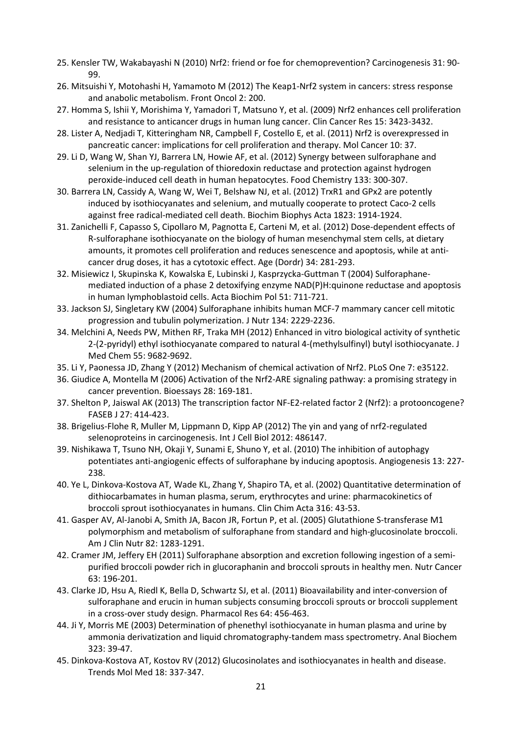- 25. Kensler TW, Wakabayashi N (2010) Nrf2: friend or foe for chemoprevention? Carcinogenesis 31: 90- 99.
- 26. Mitsuishi Y, Motohashi H, Yamamoto M (2012) The Keap1-Nrf2 system in cancers: stress response and anabolic metabolism. Front Oncol 2: 200.
- 27. Homma S, Ishii Y, Morishima Y, Yamadori T, Matsuno Y, et al. (2009) Nrf2 enhances cell proliferation and resistance to anticancer drugs in human lung cancer. Clin Cancer Res 15: 3423-3432.
- 28. Lister A, Nedjadi T, Kitteringham NR, Campbell F, Costello E, et al. (2011) Nrf2 is overexpressed in pancreatic cancer: implications for cell proliferation and therapy. Mol Cancer 10: 37.
- 29. Li D, Wang W, Shan YJ, Barrera LN, Howie AF, et al. (2012) Synergy between sulforaphane and selenium in the up-regulation of thioredoxin reductase and protection against hydrogen peroxide-induced cell death in human hepatocytes. Food Chemistry 133: 300-307.
- 30. Barrera LN, Cassidy A, Wang W, Wei T, Belshaw NJ, et al. (2012) TrxR1 and GPx2 are potently induced by isothiocyanates and selenium, and mutually cooperate to protect Caco-2 cells against free radical-mediated cell death. Biochim Biophys Acta 1823: 1914-1924.
- 31. Zanichelli F, Capasso S, Cipollaro M, Pagnotta E, Carteni M, et al. (2012) Dose-dependent effects of R-sulforaphane isothiocyanate on the biology of human mesenchymal stem cells, at dietary amounts, it promotes cell proliferation and reduces senescence and apoptosis, while at anticancer drug doses, it has a cytotoxic effect. Age (Dordr) 34: 281-293.
- 32. Misiewicz I, Skupinska K, Kowalska E, Lubinski J, Kasprzycka-Guttman T (2004) Sulforaphanemediated induction of a phase 2 detoxifying enzyme NAD(P)H:quinone reductase and apoptosis in human lymphoblastoid cells. Acta Biochim Pol 51: 711-721.
- 33. Jackson SJ, Singletary KW (2004) Sulforaphane inhibits human MCF-7 mammary cancer cell mitotic progression and tubulin polymerization. J Nutr 134: 2229-2236.
- 34. Melchini A, Needs PW, Mithen RF, Traka MH (2012) Enhanced in vitro biological activity of synthetic 2-(2-pyridyl) ethyl isothiocyanate compared to natural 4-(methylsulfinyl) butyl isothiocyanate. J Med Chem 55: 9682-9692.
- 35. Li Y, Paonessa JD, Zhang Y (2012) Mechanism of chemical activation of Nrf2. PLoS One 7: e35122.
- 36. Giudice A, Montella M (2006) Activation of the Nrf2-ARE signaling pathway: a promising strategy in cancer prevention. Bioessays 28: 169-181.
- 37. Shelton P, Jaiswal AK (2013) The transcription factor NF-E2-related factor 2 (Nrf2): a protooncogene? FASEB J 27: 414-423.
- 38. Brigelius-Flohe R, Muller M, Lippmann D, Kipp AP (2012) The yin and yang of nrf2-regulated selenoproteins in carcinogenesis. Int J Cell Biol 2012: 486147.
- 39. Nishikawa T, Tsuno NH, Okaji Y, Sunami E, Shuno Y, et al. (2010) The inhibition of autophagy potentiates anti-angiogenic effects of sulforaphane by inducing apoptosis. Angiogenesis 13: 227- 238.
- 40. Ye L, Dinkova-Kostova AT, Wade KL, Zhang Y, Shapiro TA, et al. (2002) Quantitative determination of dithiocarbamates in human plasma, serum, erythrocytes and urine: pharmacokinetics of broccoli sprout isothiocyanates in humans. Clin Chim Acta 316: 43-53.
- 41. Gasper AV, Al-Janobi A, Smith JA, Bacon JR, Fortun P, et al. (2005) Glutathione S-transferase M1 polymorphism and metabolism of sulforaphane from standard and high-glucosinolate broccoli. Am J Clin Nutr 82: 1283-1291.
- 42. Cramer JM, Jeffery EH (2011) Sulforaphane absorption and excretion following ingestion of a semipurified broccoli powder rich in glucoraphanin and broccoli sprouts in healthy men. Nutr Cancer 63: 196-201.
- 43. Clarke JD, Hsu A, Riedl K, Bella D, Schwartz SJ, et al. (2011) Bioavailability and inter-conversion of sulforaphane and erucin in human subjects consuming broccoli sprouts or broccoli supplement in a cross-over study design. Pharmacol Res 64: 456-463.
- 44. Ji Y, Morris ME (2003) Determination of phenethyl isothiocyanate in human plasma and urine by ammonia derivatization and liquid chromatography-tandem mass spectrometry. Anal Biochem 323: 39-47.
- 45. Dinkova-Kostova AT, Kostov RV (2012) Glucosinolates and isothiocyanates in health and disease. Trends Mol Med 18: 337-347.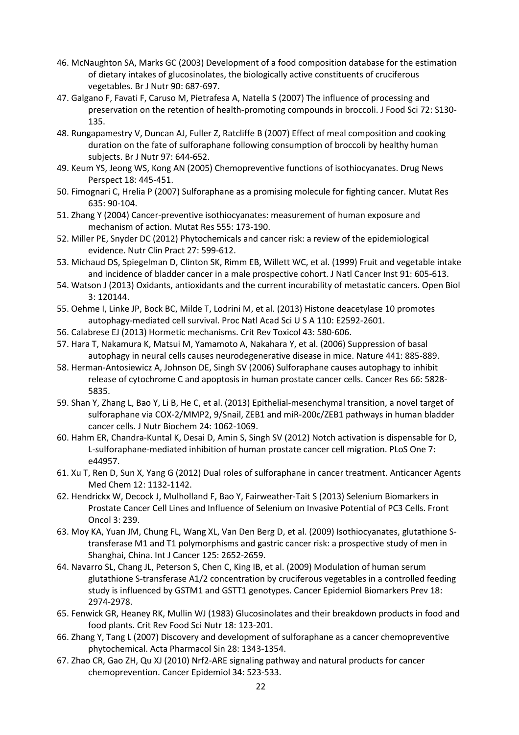- 46. McNaughton SA, Marks GC (2003) Development of a food composition database for the estimation of dietary intakes of glucosinolates, the biologically active constituents of cruciferous vegetables. Br J Nutr 90: 687-697.
- 47. Galgano F, Favati F, Caruso M, Pietrafesa A, Natella S (2007) The influence of processing and preservation on the retention of health-promoting compounds in broccoli. J Food Sci 72: S130- 135.
- 48. Rungapamestry V, Duncan AJ, Fuller Z, Ratcliffe B (2007) Effect of meal composition and cooking duration on the fate of sulforaphane following consumption of broccoli by healthy human subjects. Br J Nutr 97: 644-652.
- 49. Keum YS, Jeong WS, Kong AN (2005) Chemopreventive functions of isothiocyanates. Drug News Perspect 18: 445-451.
- 50. Fimognari C, Hrelia P (2007) Sulforaphane as a promising molecule for fighting cancer. Mutat Res 635: 90-104.
- 51. Zhang Y (2004) Cancer-preventive isothiocyanates: measurement of human exposure and mechanism of action. Mutat Res 555: 173-190.
- 52. Miller PE, Snyder DC (2012) Phytochemicals and cancer risk: a review of the epidemiological evidence. Nutr Clin Pract 27: 599-612.
- 53. Michaud DS, Spiegelman D, Clinton SK, Rimm EB, Willett WC, et al. (1999) Fruit and vegetable intake and incidence of bladder cancer in a male prospective cohort. J Natl Cancer Inst 91: 605-613.
- 54. Watson J (2013) Oxidants, antioxidants and the current incurability of metastatic cancers. Open Biol 3: 120144.
- 55. Oehme I, Linke JP, Bock BC, Milde T, Lodrini M, et al. (2013) Histone deacetylase 10 promotes autophagy-mediated cell survival. Proc Natl Acad Sci U S A 110: E2592-2601.
- 56. Calabrese EJ (2013) Hormetic mechanisms. Crit Rev Toxicol 43: 580-606.
- 57. Hara T, Nakamura K, Matsui M, Yamamoto A, Nakahara Y, et al. (2006) Suppression of basal autophagy in neural cells causes neurodegenerative disease in mice. Nature 441: 885-889.
- 58. Herman-Antosiewicz A, Johnson DE, Singh SV (2006) Sulforaphane causes autophagy to inhibit release of cytochrome C and apoptosis in human prostate cancer cells. Cancer Res 66: 5828- 5835.
- 59. Shan Y, Zhang L, Bao Y, Li B, He C, et al. (2013) Epithelial-mesenchymal transition, a novel target of sulforaphane via COX-2/MMP2, 9/Snail, ZEB1 and miR-200c/ZEB1 pathways in human bladder cancer cells. J Nutr Biochem 24: 1062-1069.
- 60. Hahm ER, Chandra-Kuntal K, Desai D, Amin S, Singh SV (2012) Notch activation is dispensable for D, L-sulforaphane-mediated inhibition of human prostate cancer cell migration. PLoS One 7: e44957.
- 61. Xu T, Ren D, Sun X, Yang G (2012) Dual roles of sulforaphane in cancer treatment. Anticancer Agents Med Chem 12: 1132-1142.
- 62. Hendrickx W, Decock J, Mulholland F, Bao Y, Fairweather-Tait S (2013) Selenium Biomarkers in Prostate Cancer Cell Lines and Influence of Selenium on Invasive Potential of PC3 Cells. Front Oncol 3: 239.
- 63. Moy KA, Yuan JM, Chung FL, Wang XL, Van Den Berg D, et al. (2009) Isothiocyanates, glutathione Stransferase M1 and T1 polymorphisms and gastric cancer risk: a prospective study of men in Shanghai, China. Int J Cancer 125: 2652-2659.
- 64. Navarro SL, Chang JL, Peterson S, Chen C, King IB, et al. (2009) Modulation of human serum glutathione S-transferase A1/2 concentration by cruciferous vegetables in a controlled feeding study is influenced by GSTM1 and GSTT1 genotypes. Cancer Epidemiol Biomarkers Prev 18: 2974-2978.
- 65. Fenwick GR, Heaney RK, Mullin WJ (1983) Glucosinolates and their breakdown products in food and food plants. Crit Rev Food Sci Nutr 18: 123-201.
- 66. Zhang Y, Tang L (2007) Discovery and development of sulforaphane as a cancer chemopreventive phytochemical. Acta Pharmacol Sin 28: 1343-1354.
- 67. Zhao CR, Gao ZH, Qu XJ (2010) Nrf2-ARE signaling pathway and natural products for cancer chemoprevention. Cancer Epidemiol 34: 523-533.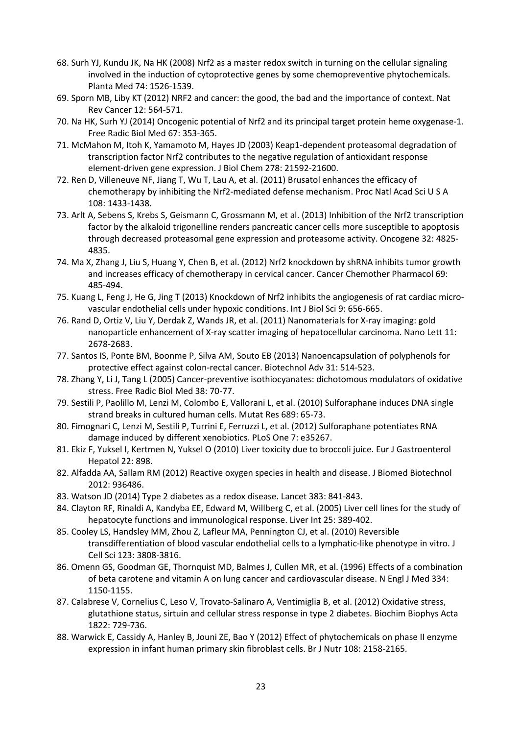- 68. Surh YJ, Kundu JK, Na HK (2008) Nrf2 as a master redox switch in turning on the cellular signaling involved in the induction of cytoprotective genes by some chemopreventive phytochemicals. Planta Med 74: 1526-1539.
- 69. Sporn MB, Liby KT (2012) NRF2 and cancer: the good, the bad and the importance of context. Nat Rev Cancer 12: 564-571.
- 70. Na HK, Surh YJ (2014) Oncogenic potential of Nrf2 and its principal target protein heme oxygenase-1. Free Radic Biol Med 67: 353-365.
- 71. McMahon M, Itoh K, Yamamoto M, Hayes JD (2003) Keap1-dependent proteasomal degradation of transcription factor Nrf2 contributes to the negative regulation of antioxidant response element-driven gene expression. J Biol Chem 278: 21592-21600.
- 72. Ren D, Villeneuve NF, Jiang T, Wu T, Lau A, et al. (2011) Brusatol enhances the efficacy of chemotherapy by inhibiting the Nrf2-mediated defense mechanism. Proc Natl Acad Sci U S A 108: 1433-1438.
- 73. Arlt A, Sebens S, Krebs S, Geismann C, Grossmann M, et al. (2013) Inhibition of the Nrf2 transcription factor by the alkaloid trigonelline renders pancreatic cancer cells more susceptible to apoptosis through decreased proteasomal gene expression and proteasome activity. Oncogene 32: 4825- 4835.
- 74. Ma X, Zhang J, Liu S, Huang Y, Chen B, et al. (2012) Nrf2 knockdown by shRNA inhibits tumor growth and increases efficacy of chemotherapy in cervical cancer. Cancer Chemother Pharmacol 69: 485-494.
- 75. Kuang L, Feng J, He G, Jing T (2013) Knockdown of Nrf2 inhibits the angiogenesis of rat cardiac microvascular endothelial cells under hypoxic conditions. Int J Biol Sci 9: 656-665.
- 76. Rand D, Ortiz V, Liu Y, Derdak Z, Wands JR, et al. (2011) Nanomaterials for X-ray imaging: gold nanoparticle enhancement of X-ray scatter imaging of hepatocellular carcinoma. Nano Lett 11: 2678-2683.
- 77. Santos IS, Ponte BM, Boonme P, Silva AM, Souto EB (2013) Nanoencapsulation of polyphenols for protective effect against colon-rectal cancer. Biotechnol Adv 31: 514-523.
- 78. Zhang Y, Li J, Tang L (2005) Cancer-preventive isothiocyanates: dichotomous modulators of oxidative stress. Free Radic Biol Med 38: 70-77.
- 79. Sestili P, Paolillo M, Lenzi M, Colombo E, Vallorani L, et al. (2010) Sulforaphane induces DNA single strand breaks in cultured human cells. Mutat Res 689: 65-73.
- 80. Fimognari C, Lenzi M, Sestili P, Turrini E, Ferruzzi L, et al. (2012) Sulforaphane potentiates RNA damage induced by different xenobiotics. PLoS One 7: e35267.
- 81. Ekiz F, Yuksel I, Kertmen N, Yuksel O (2010) Liver toxicity due to broccoli juice. Eur J Gastroenterol Hepatol 22: 898.
- 82. Alfadda AA, Sallam RM (2012) Reactive oxygen species in health and disease. J Biomed Biotechnol 2012: 936486.
- 83. Watson JD (2014) Type 2 diabetes as a redox disease. Lancet 383: 841-843.
- 84. Clayton RF, Rinaldi A, Kandyba EE, Edward M, Willberg C, et al. (2005) Liver cell lines for the study of hepatocyte functions and immunological response. Liver Int 25: 389-402.
- 85. Cooley LS, Handsley MM, Zhou Z, Lafleur MA, Pennington CJ, et al. (2010) Reversible transdifferentiation of blood vascular endothelial cells to a lymphatic-like phenotype in vitro. J Cell Sci 123: 3808-3816.
- 86. Omenn GS, Goodman GE, Thornquist MD, Balmes J, Cullen MR, et al. (1996) Effects of a combination of beta carotene and vitamin A on lung cancer and cardiovascular disease. N Engl J Med 334: 1150-1155.
- 87. Calabrese V, Cornelius C, Leso V, Trovato-Salinaro A, Ventimiglia B, et al. (2012) Oxidative stress, glutathione status, sirtuin and cellular stress response in type 2 diabetes. Biochim Biophys Acta 1822: 729-736.
- 88. Warwick E, Cassidy A, Hanley B, Jouni ZE, Bao Y (2012) Effect of phytochemicals on phase II enzyme expression in infant human primary skin fibroblast cells. Br J Nutr 108: 2158-2165.